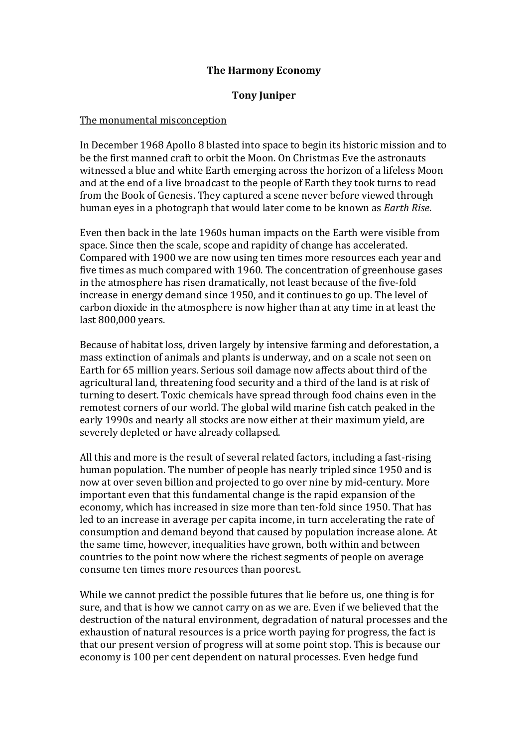# The Harmony Economy

## Tony Juniper

#### The monumental misconception

In December 1968 Apollo 8 blasted into space to begin its historic mission and to be the first manned craft to orbit the Moon. On Christmas Eve the astronauts witnessed a blue and white Earth emerging across the horizon of a lifeless Moon and at the end of a live broadcast to the people of Earth they took turns to read from the Book of Genesis. They captured a scene never before viewed through human eyes in a photograph that would later come to be known as Earth Rise.

Even then back in the late 1960s human impacts on the Earth were visible from space. Since then the scale, scope and rapidity of change has accelerated. Compared with 1900 we are now using ten times more resources each year and five times as much compared with 1960. The concentration of greenhouse gases in the atmosphere has risen dramatically, not least because of the five-fold increase in energy demand since 1950, and it continues to go up. The level of carbon dioxide in the atmosphere is now higher than at any time in at least the last 800,000 years.

Because of habitat loss, driven largely by intensive farming and deforestation, a mass extinction of animals and plants is underway, and on a scale not seen on Earth for 65 million years. Serious soil damage now affects about third of the agricultural land, threatening food security and a third of the land is at risk of turning to desert. Toxic chemicals have spread through food chains even in the remotest corners of our world. The global wild marine fish catch peaked in the early 1990s and nearly all stocks are now either at their maximum yield, are severely depleted or have already collapsed.

All this and more is the result of several related factors, including a fast-rising human population. The number of people has nearly tripled since 1950 and is now at over seven billion and projected to go over nine by mid-century. More important even that this fundamental change is the rapid expansion of the economy, which has increased in size more than ten-fold since 1950. That has led to an increase in average per capita income, in turn accelerating the rate of consumption and demand beyond that caused by population increase alone. At the same time, however, inequalities have grown, both within and between countries to the point now where the richest segments of people on average consume ten times more resources than poorest.

While we cannot predict the possible futures that lie before us, one thing is for sure, and that is how we cannot carry on as we are. Even if we believed that the destruction of the natural environment, degradation of natural processes and the exhaustion of natural resources is a price worth paying for progress, the fact is that our present version of progress will at some point stop. This is because our economy is 100 per cent dependent on natural processes. Even hedge fund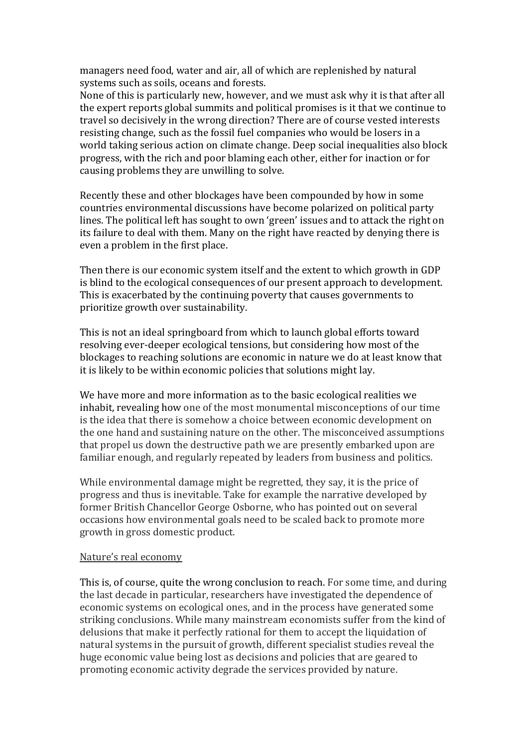managers need food, water and air, all of which are replenished by natural systems such as soils, oceans and forests.

None of this is particularly new, however, and we must ask why it is that after all the expert reports global summits and political promises is it that we continue to travel so decisively in the wrong direction? There are of course vested interests resisting change, such as the fossil fuel companies who would be losers in a world taking serious action on climate change. Deep social inequalities also block progress, with the rich and poor blaming each other, either for inaction or for causing problems they are unwilling to solve.

Recently these and other blockages have been compounded by how in some countries environmental discussions have become polarized on political party lines. The political left has sought to own 'green' issues and to attack the right on its failure to deal with them. Many on the right have reacted by denying there is even a problem in the first place.

Then there is our economic system itself and the extent to which growth in GDP is blind to the ecological consequences of our present approach to development. This is exacerbated by the continuing poverty that causes governments to prioritize growth over sustainability.

This is not an ideal springboard from which to launch global efforts toward resolving ever-deeper ecological tensions, but considering how most of the blockages to reaching solutions are economic in nature we do at least know that it is likely to be within economic policies that solutions might lay.

We have more and more information as to the basic ecological realities we inhabit, revealing how one of the most monumental misconceptions of our time is the idea that there is somehow a choice between economic development on the one hand and sustaining nature on the other. The misconceived assumptions that propel us down the destructive path we are presently embarked upon are familiar enough, and regularly repeated by leaders from business and politics.

While environmental damage might be regretted, they say, it is the price of progress and thus is inevitable. Take for example the narrative developed by former British Chancellor George Osborne, who has pointed out on several occasions how environmental goals need to be scaled back to promote more growth in gross domestic product.

## Nature's real economy

This is, of course, quite the wrong conclusion to reach. For some time, and during the last decade in particular, researchers have investigated the dependence of economic systems on ecological ones, and in the process have generated some striking conclusions. While many mainstream economists suffer from the kind of delusions that make it perfectly rational for them to accept the liquidation of natural systems in the pursuit of growth, different specialist studies reveal the huge economic value being lost as decisions and policies that are geared to promoting economic activity degrade the services provided by nature.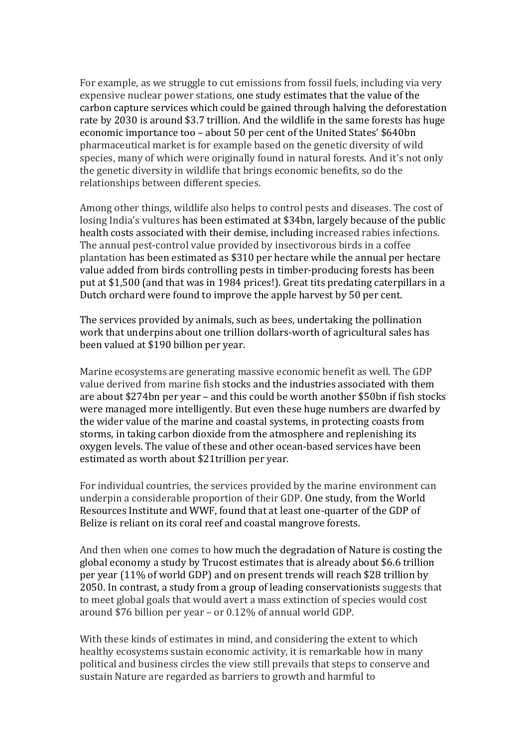For example, as we struggle to cut emissions from fossil fuels, including via very expensive nuclear power stations, one study estimates that the value of the carbon capture services which could be gained through halving the deforestation rate by 2030 is around \$3.7 trillion. And the wildlife in the same forests has huge economic importance too – about 50 per cent of the United States' \$640bn pharmaceutical market is for example based on the genetic diversity of wild species, many of which were originally found in natural forests. And it's not only the genetic diversity in wildlife that brings economic benefits, so do the relationships between different species.

Among other things, wildlife also helps to control pests and diseases. The cost of losing India's vultures has been estimated at \$34bn, largely because of the public health costs associated with their demise, including increased rabies infections. The annual pest-control value provided by insectivorous birds in a coffee plantation has been estimated as \$310 per hectare while the annual per hectare value added from birds controlling pests in timber-producing forests has been put at \$1,500 (and that was in 1984 prices!). Great tits predating caterpillars in a Dutch orchard were found to improve the apple harvest by 50 per cent.

The services provided by animals, such as bees, undertaking the pollination work that underpins about one trillion dollars-worth of agricultural sales has been valued at \$190 billion per year.

Marine ecosystems are generating massive economic benefit as well. The GDP value derived from marine fish stocks and the industries associated with them are about \$274bn per year – and this could be worth another \$50bn if fish stocks were managed more intelligently. But even these huge numbers are dwarfed by the wider value of the marine and coastal systems, in protecting coasts from storms, in taking carbon dioxide from the atmosphere and replenishing its oxygen levels. The value of these and other ocean-based services have been estimated as worth about \$21trillion per year.

For individual countries, the services provided by the marine environment can underpin a considerable proportion of their GDP. One study, from the World Resources Institute and WWF, found that at least one-quarter of the GDP of Belize is reliant on its coral reef and coastal mangrove forests.

And then when one comes to how much the degradation of Nature is costing the global economy a study by Trucost estimates that is already about \$6.6 trillion per year (11% of world GDP) and on present trends will reach \$28 trillion by 2050. In contrast, a study from a group of leading conservationists suggests that to meet global goals that would avert a mass extinction of species would cost around \$76 billion per year – or 0.12% of annual world GDP.

With these kinds of estimates in mind, and considering the extent to which healthy ecosystems sustain economic activity, it is remarkable how in many political and business circles the view still prevails that steps to conserve and sustain Nature are regarded as barriers to growth and harmful to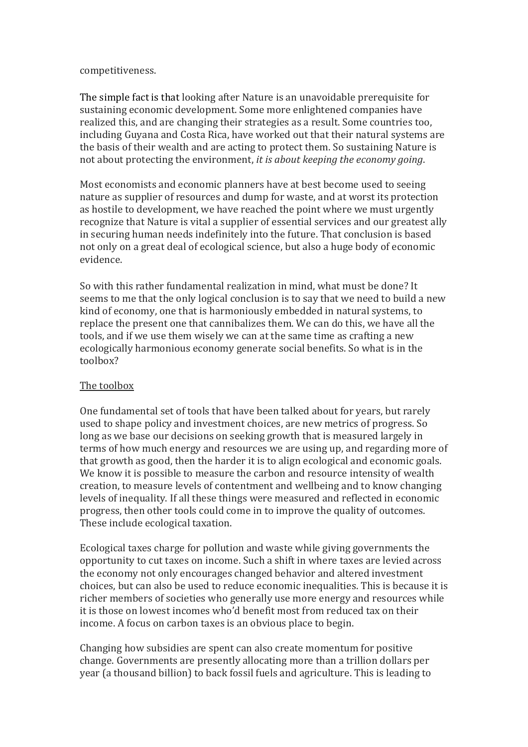#### competitiveness.

The simple fact is that looking after Nature is an unavoidable prerequisite for sustaining economic development. Some more enlightened companies have realized this, and are changing their strategies as a result. Some countries too, including Guyana and Costa Rica, have worked out that their natural systems are the basis of their wealth and are acting to protect them. So sustaining Nature is not about protecting the environment, it is about keeping the economy going.

Most economists and economic planners have at best become used to seeing nature as supplier of resources and dump for waste, and at worst its protection as hostile to development, we have reached the point where we must urgently recognize that Nature is vital a supplier of essential services and our greatest ally in securing human needs indefinitely into the future. That conclusion is based not only on a great deal of ecological science, but also a huge body of economic evidence.

So with this rather fundamental realization in mind, what must be done? It seems to me that the only logical conclusion is to say that we need to build a new kind of economy, one that is harmoniously embedded in natural systems, to replace the present one that cannibalizes them. We can do this, we have all the tools, and if we use them wisely we can at the same time as crafting a new ecologically harmonious economy generate social benefits. So what is in the toolbox?

## The toolbox

One fundamental set of tools that have been talked about for years, but rarely used to shape policy and investment choices, are new metrics of progress. So long as we base our decisions on seeking growth that is measured largely in terms of how much energy and resources we are using up, and regarding more of that growth as good, then the harder it is to align ecological and economic goals. We know it is possible to measure the carbon and resource intensity of wealth creation, to measure levels of contentment and wellbeing and to know changing levels of inequality. If all these things were measured and reflected in economic progress, then other tools could come in to improve the quality of outcomes. These include ecological taxation.

Ecological taxes charge for pollution and waste while giving governments the opportunity to cut taxes on income. Such a shift in where taxes are levied across the economy not only encourages changed behavior and altered investment choices, but can also be used to reduce economic inequalities. This is because it is richer members of societies who generally use more energy and resources while it is those on lowest incomes who'd benefit most from reduced tax on their income. A focus on carbon taxes is an obvious place to begin.

Changing how subsidies are spent can also create momentum for positive change. Governments are presently allocating more than a trillion dollars per year (a thousand billion) to back fossil fuels and agriculture. This is leading to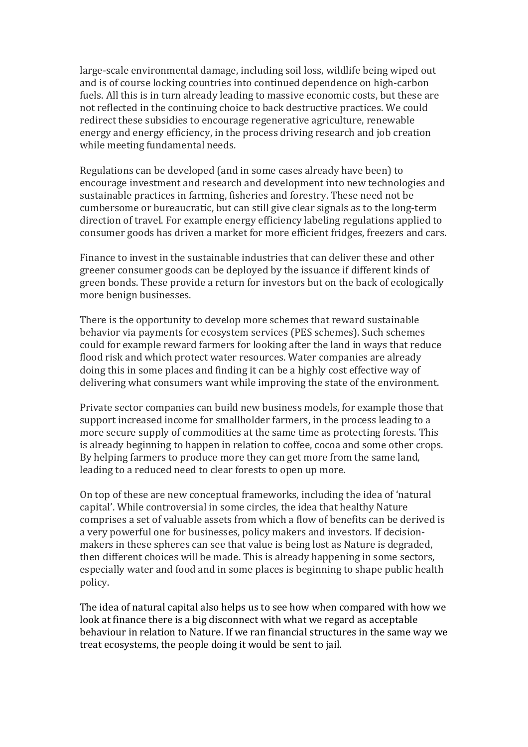large-scale environmental damage, including soil loss, wildlife being wiped out and is of course locking countries into continued dependence on high-carbon fuels. All this is in turn already leading to massive economic costs, but these are not reflected in the continuing choice to back destructive practices. We could redirect these subsidies to encourage regenerative agriculture, renewable energy and energy efficiency, in the process driving research and job creation while meeting fundamental needs.

Regulations can be developed (and in some cases already have been) to encourage investment and research and development into new technologies and sustainable practices in farming, fisheries and forestry. These need not be cumbersome or bureaucratic, but can still give clear signals as to the long-term direction of travel. For example energy efficiency labeling regulations applied to consumer goods has driven a market for more efficient fridges, freezers and cars.

Finance to invest in the sustainable industries that can deliver these and other greener consumer goods can be deployed by the issuance if different kinds of green bonds. These provide a return for investors but on the back of ecologically more benign businesses.

There is the opportunity to develop more schemes that reward sustainable behavior via payments for ecosystem services (PES schemes). Such schemes could for example reward farmers for looking after the land in ways that reduce flood risk and which protect water resources. Water companies are already doing this in some places and finding it can be a highly cost effective way of delivering what consumers want while improving the state of the environment.

Private sector companies can build new business models, for example those that support increased income for smallholder farmers, in the process leading to a more secure supply of commodities at the same time as protecting forests. This is already beginning to happen in relation to coffee, cocoa and some other crops. By helping farmers to produce more they can get more from the same land, leading to a reduced need to clear forests to open up more.

On top of these are new conceptual frameworks, including the idea of 'natural capital'. While controversial in some circles, the idea that healthy Nature comprises a set of valuable assets from which a flow of benefits can be derived is a very powerful one for businesses, policy makers and investors. If decisionmakers in these spheres can see that value is being lost as Nature is degraded, then different choices will be made. This is already happening in some sectors, especially water and food and in some places is beginning to shape public health policy.

The idea of natural capital also helps us to see how when compared with how we look at finance there is a big disconnect with what we regard as acceptable behaviour in relation to Nature. If we ran financial structures in the same way we treat ecosystems, the people doing it would be sent to jail.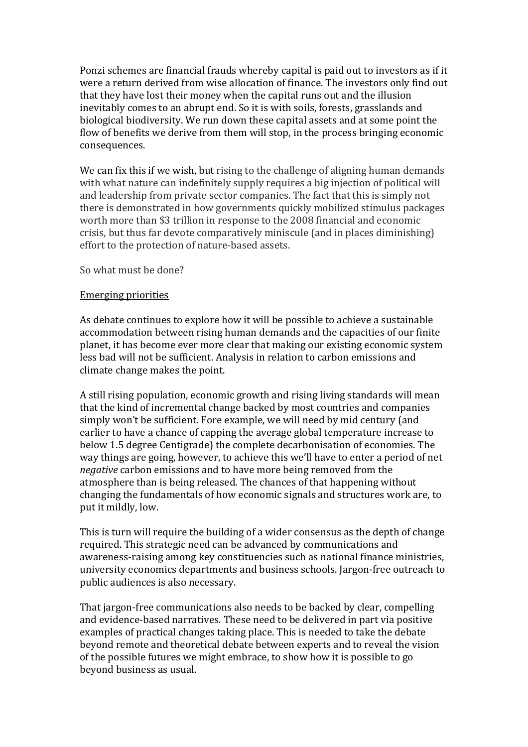Ponzi schemes are financial frauds whereby capital is paid out to investors as if it were a return derived from wise allocation of finance. The investors only find out that they have lost their money when the capital runs out and the illusion inevitably comes to an abrupt end. So it is with soils, forests, grasslands and biological biodiversity. We run down these capital assets and at some point the flow of benefits we derive from them will stop, in the process bringing economic consequences.

We can fix this if we wish, but rising to the challenge of aligning human demands with what nature can indefinitely supply requires a big injection of political will and leadership from private sector companies. The fact that this is simply not there is demonstrated in how governments quickly mobilized stimulus packages worth more than \$3 trillion in response to the 2008 financial and economic crisis, but thus far devote comparatively miniscule (and in places diminishing) effort to the protection of nature-based assets.

So what must be done?

#### Emerging priorities

As debate continues to explore how it will be possible to achieve a sustainable accommodation between rising human demands and the capacities of our finite planet, it has become ever more clear that making our existing economic system less bad will not be sufficient. Analysis in relation to carbon emissions and climate change makes the point.

A still rising population, economic growth and rising living standards will mean that the kind of incremental change backed by most countries and companies simply won't be sufficient. Fore example, we will need by mid century (and earlier to have a chance of capping the average global temperature increase to below 1.5 degree Centigrade) the complete decarbonisation of economies. The way things are going, however, to achieve this we'll have to enter a period of net negative carbon emissions and to have more being removed from the atmosphere than is being released. The chances of that happening without changing the fundamentals of how economic signals and structures work are, to put it mildly, low.

This is turn will require the building of a wider consensus as the depth of change required. This strategic need can be advanced by communications and awareness-raising among key constituencies such as national finance ministries, university economics departments and business schools. Jargon-free outreach to public audiences is also necessary.

That jargon-free communications also needs to be backed by clear, compelling and evidence-based narratives. These need to be delivered in part via positive examples of practical changes taking place. This is needed to take the debate beyond remote and theoretical debate between experts and to reveal the vision of the possible futures we might embrace, to show how it is possible to go beyond business as usual.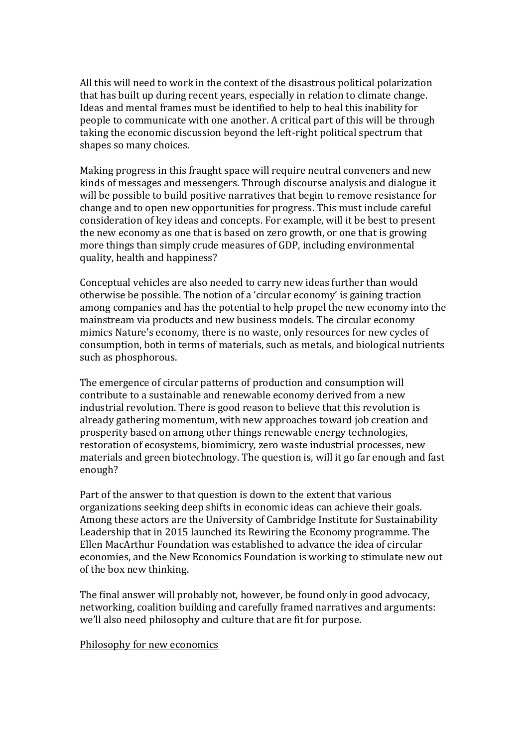All this will need to work in the context of the disastrous political polarization that has built up during recent years, especially in relation to climate change. Ideas and mental frames must be identified to help to heal this inability for people to communicate with one another. A critical part of this will be through taking the economic discussion beyond the left-right political spectrum that shapes so many choices.

Making progress in this fraught space will require neutral conveners and new kinds of messages and messengers. Through discourse analysis and dialogue it will be possible to build positive narratives that begin to remove resistance for change and to open new opportunities for progress. This must include careful consideration of key ideas and concepts. For example, will it be best to present the new economy as one that is based on zero growth, or one that is growing more things than simply crude measures of GDP, including environmental quality, health and happiness?

Conceptual vehicles are also needed to carry new ideas further than would otherwise be possible. The notion of a 'circular economy' is gaining traction among companies and has the potential to help propel the new economy into the mainstream via products and new business models. The circular economy mimics Nature's economy, there is no waste, only resources for new cycles of consumption, both in terms of materials, such as metals, and biological nutrients such as phosphorous.

The emergence of circular patterns of production and consumption will contribute to a sustainable and renewable economy derived from a new industrial revolution. There is good reason to believe that this revolution is already gathering momentum, with new approaches toward job creation and prosperity based on among other things renewable energy technologies, restoration of ecosystems, biomimicry, zero waste industrial processes, new materials and green biotechnology. The question is, will it go far enough and fast enough?

Part of the answer to that question is down to the extent that various organizations seeking deep shifts in economic ideas can achieve their goals. Among these actors are the University of Cambridge Institute for Sustainability Leadership that in 2015 launched its Rewiring the Economy programme. The Ellen MacArthur Foundation was established to advance the idea of circular economies, and the New Economics Foundation is working to stimulate new out of the box new thinking.

The final answer will probably not, however, be found only in good advocacy, networking, coalition building and carefully framed narratives and arguments: we'll also need philosophy and culture that are fit for purpose.

## Philosophy for new economics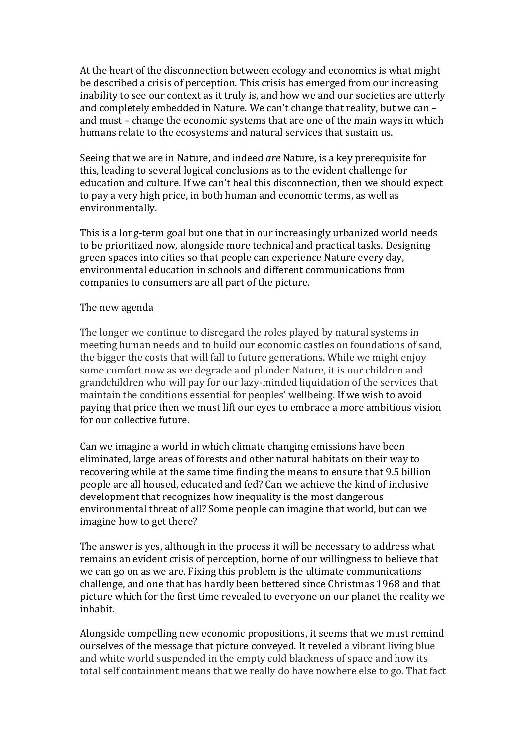At the heart of the disconnection between ecology and economics is what might be described a crisis of perception. This crisis has emerged from our increasing inability to see our context as it truly is, and how we and our societies are utterly and completely embedded in Nature. We can't change that reality, but we can – and must – change the economic systems that are one of the main ways in which humans relate to the ecosystems and natural services that sustain us.

Seeing that we are in Nature, and indeed are Nature, is a key prerequisite for this, leading to several logical conclusions as to the evident challenge for education and culture. If we can't heal this disconnection, then we should expect to pay a very high price, in both human and economic terms, as well as environmentally.

This is a long-term goal but one that in our increasingly urbanized world needs to be prioritized now, alongside more technical and practical tasks. Designing green spaces into cities so that people can experience Nature every day, environmental education in schools and different communications from companies to consumers are all part of the picture.

# The new agenda

The longer we continue to disregard the roles played by natural systems in meeting human needs and to build our economic castles on foundations of sand, the bigger the costs that will fall to future generations. While we might enjoy some comfort now as we degrade and plunder Nature, it is our children and grandchildren who will pay for our lazy-minded liquidation of the services that maintain the conditions essential for peoples' wellbeing. If we wish to avoid paying that price then we must lift our eyes to embrace a more ambitious vision for our collective future.

Can we imagine a world in which climate changing emissions have been eliminated, large areas of forests and other natural habitats on their way to recovering while at the same time finding the means to ensure that 9.5 billion people are all housed, educated and fed? Can we achieve the kind of inclusive development that recognizes how inequality is the most dangerous environmental threat of all? Some people can imagine that world, but can we imagine how to get there?

The answer is yes, although in the process it will be necessary to address what remains an evident crisis of perception, borne of our willingness to believe that we can go on as we are. Fixing this problem is the ultimate communications challenge, and one that has hardly been bettered since Christmas 1968 and that picture which for the first time revealed to everyone on our planet the reality we inhabit.

Alongside compelling new economic propositions, it seems that we must remind ourselves of the message that picture conveyed. It reveled a vibrant living blue and white world suspended in the empty cold blackness of space and how its total self containment means that we really do have nowhere else to go. That fact